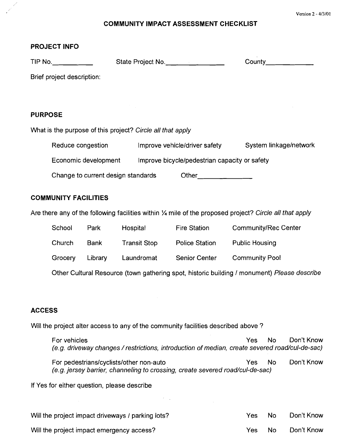## **COMMUNITY IMPACT ASSESSMENT CHECKLIST**

## **PROJECT INFO**

|                                                                                                          | TIP No.                                                               |             | State Project No.   |                               | County____                  |  |  |  |
|----------------------------------------------------------------------------------------------------------|-----------------------------------------------------------------------|-------------|---------------------|-------------------------------|-----------------------------|--|--|--|
| Brief project description:                                                                               |                                                                       |             |                     |                               |                             |  |  |  |
|                                                                                                          |                                                                       |             |                     |                               |                             |  |  |  |
| <b>PURPOSE</b>                                                                                           |                                                                       |             |                     |                               |                             |  |  |  |
| What is the purpose of this project? Circle all that apply                                               |                                                                       |             |                     |                               |                             |  |  |  |
|                                                                                                          | Reduce congestion                                                     |             |                     | Improve vehicle/driver safety | System linkage/network      |  |  |  |
|                                                                                                          | Economic development<br>Improve bicycle/pedestrian capacity or safety |             |                     |                               |                             |  |  |  |
|                                                                                                          | Change to current design standards<br>Other __________                |             |                     |                               |                             |  |  |  |
|                                                                                                          | <b>COMMUNITY FACILITIES</b>                                           |             |                     |                               |                             |  |  |  |
| Are there any of the following facilities within 1/4 mile of the proposed project? Circle all that apply |                                                                       |             |                     |                               |                             |  |  |  |
|                                                                                                          | School                                                                | Park        | Hospital            | <b>Fire Station</b>           | <b>Community/Rec Center</b> |  |  |  |
|                                                                                                          | Church                                                                | <b>Bank</b> | <b>Transit Stop</b> | <b>Police Station</b>         | <b>Public Housing</b>       |  |  |  |
|                                                                                                          | Grocery                                                               | Library     | Laundromat          | Senior Center                 | <b>Community Pool</b>       |  |  |  |
| Other Cultural Resource (town gathering spot, historic building / monument) Please describe              |                                                                       |             |                     |                               |                             |  |  |  |
|                                                                                                          |                                                                       |             |                     |                               |                             |  |  |  |
| <b>ACCESS</b>                                                                                            |                                                                       |             |                     |                               |                             |  |  |  |

Will the project alter access to any of the community facilities described above ?

| For vehicles<br>(e.g. driveway changes / restrictions, introduction of median, create severed road/cul-de-sac)           | Yes : | No. | Don't Know |
|--------------------------------------------------------------------------------------------------------------------------|-------|-----|------------|
| For pedestrians/cyclists/other non-auto<br>(e.g. jersey barrier, channeling to crossing, create severed road/cul-de-sac) | Yes : | No. | Don't Know |

If Yes for either question, please describe

| Will the project impact driveways / parking lots? | Yes. | No. | Don't Know |
|---------------------------------------------------|------|-----|------------|
| Will the project impact emergency access?         | Yes  | No. | Don't Know |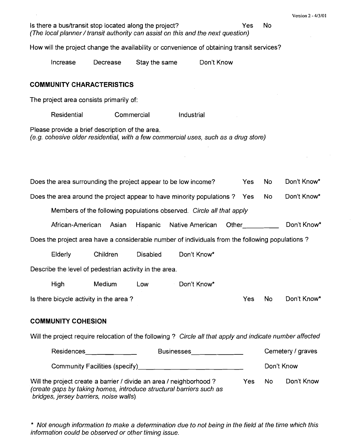Is there a bus/transit stop located along the project? The Manus of the No (The local planner/transit authority can assist on this and the next question) How will the project change the availability or convenience of obtaining transit services? Increase Decrease Stay the same Don't Know **COMMUNITY CHARACTERISTICS**  The project area consists primarily of: Residential Commercial Industrial Please provide a brief description of the area. (e.g. cohesive older residential, with a few commercial uses, such as a drug store) Does the area surrounding the project appear to be low income? Yes No Don't Know\* Does the area around the project appear to have minority populations ? Yes No Don't Know\* Members of the following populations observed. Circle all that apply African-American Asian Hispanic Native American Other Don't Know\* Does the project area have a considerable number of individuals from the following populations ? Elderly Children Disabled Don't Know\* Describe the level of pedestrian activity in the area. High Medium Low Don't Know\* Is there bicycle activity in the area ? The Manuscript of the Manuscript of No Don't Know\* **COMMUNITY COHESION**  Will the project require relocation of the following ? Circle all that apply and indicate number affected

| <b>Residences</b>                                                                                                                                                                     | <b>Businesses</b> | Cemetery / graves |     |            |
|---------------------------------------------------------------------------------------------------------------------------------------------------------------------------------------|-------------------|-------------------|-----|------------|
| Community Facilities (specify)                                                                                                                                                        |                   |                   |     | Don't Know |
| Will the project create a barrier / divide an area / neighborhood ?<br>(create gaps by taking homes, introduce structural barriers such as<br>bridges, jersey barriers, noise walls). |                   | Yes.              | No. | Don't Know |

\* Not enough information to make a determination due to not being in the field at the time which this information could be observed or other timing issue.